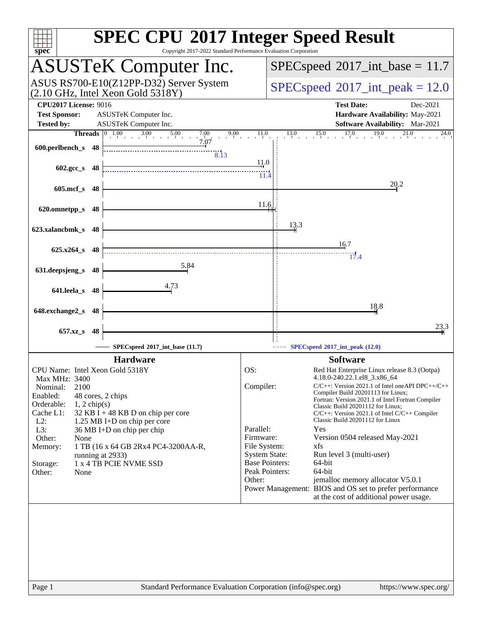| spec <sup>®</sup>                                                                                     | Copyright 2017-2022 Standard Performance Evaluation Corporation                                                                                                       |                                      | <b>SPEC CPU®2017 Integer Speed Result</b>                                                                                             |                       |  |  |
|-------------------------------------------------------------------------------------------------------|-----------------------------------------------------------------------------------------------------------------------------------------------------------------------|--------------------------------------|---------------------------------------------------------------------------------------------------------------------------------------|-----------------------|--|--|
| <b>ASUSTeK Computer Inc.</b>                                                                          |                                                                                                                                                                       |                                      | $SPEC speed^{\circ}2017\_int\_base = 11.7$                                                                                            |                       |  |  |
| ASUS RS700-E10(Z12PP-D32) Server System<br>$(2.10 \text{ GHz}, \text{Intel Xeon Gold } 5318\text{Y})$ |                                                                                                                                                                       |                                      | $SPEC speed^{\circ}2017\_int\_peak = 12.0$                                                                                            |                       |  |  |
| <b>CPU2017 License: 9016</b><br><b>Test Sponsor:</b>                                                  | ASUSTeK Computer Inc.                                                                                                                                                 |                                      | <b>Test Date:</b><br>Hardware Availability: May-2021                                                                                  | Dec-2021              |  |  |
| <b>Tested by:</b>                                                                                     | ASUSTeK Computer Inc.                                                                                                                                                 | 11.0                                 | Software Availability: Mar-2021<br>$13.0$ $15.0$ $17.0$ $19.0$<br>$^{21,0}$                                                           | 24.0                  |  |  |
| 600.perlbench_s 48                                                                                    | <b>Threads</b> $\begin{array}{ c c c c c } \hline 0 & 1.00 & 3.00 & 5.00 & 7.00 & 9.00 \\ & & 3.00 & 5.00 & 7.07 & 9.00 \\ & & 7.07 & & & \hline \end{array}$<br>8.13 |                                      |                                                                                                                                       |                       |  |  |
| $602 \text{.gcc s}$ 48                                                                                |                                                                                                                                                                       | 11.0<br>11.4                         |                                                                                                                                       |                       |  |  |
| $605$ .mcf_s<br>-48                                                                                   |                                                                                                                                                                       |                                      | 20.2                                                                                                                                  |                       |  |  |
| 620.omnetpp_s<br>48                                                                                   |                                                                                                                                                                       | 11.6                                 |                                                                                                                                       |                       |  |  |
| 623.xalancbmk_s 48                                                                                    |                                                                                                                                                                       |                                      | 13.3                                                                                                                                  |                       |  |  |
| 625.x264_s 48                                                                                         |                                                                                                                                                                       |                                      | 16.7<br>17.4                                                                                                                          |                       |  |  |
| 631.deepsjeng_s 48                                                                                    | 5.84                                                                                                                                                                  |                                      |                                                                                                                                       |                       |  |  |
| 641.leela_s 48                                                                                        | 4.73                                                                                                                                                                  |                                      |                                                                                                                                       |                       |  |  |
| 648.exchange2_s<br>-48                                                                                |                                                                                                                                                                       |                                      | 18.8                                                                                                                                  |                       |  |  |
| 657.xz_s<br>48                                                                                        |                                                                                                                                                                       |                                      |                                                                                                                                       | 23.3                  |  |  |
|                                                                                                       | SPECspeed®2017_int_base (11.7)                                                                                                                                        |                                      | SPECspeed®2017_int_peak (12.0)                                                                                                        |                       |  |  |
|                                                                                                       | <b>Hardware</b>                                                                                                                                                       |                                      | <b>Software</b>                                                                                                                       |                       |  |  |
| CPU Name: Intel Xeon Gold 5318Y                                                                       |                                                                                                                                                                       | OS:                                  | Red Hat Enterprise Linux release 8.3 (Ootpa)                                                                                          |                       |  |  |
| Max MHz: 3400<br>2100<br>Nominal:                                                                     |                                                                                                                                                                       | Compiler:                            | 4.18.0-240.22.1.el8_3.x86_64<br>$C/C++$ : Version 2021.1 of Intel one API DPC++/C++                                                   |                       |  |  |
| Enabled:<br>48 cores, 2 chips                                                                         |                                                                                                                                                                       |                                      | Compiler Build 20201113 for Linux;                                                                                                    |                       |  |  |
| Orderable:<br>$1, 2$ chip(s)                                                                          |                                                                                                                                                                       |                                      | Fortran: Version 2021.1 of Intel Fortran Compiler<br>Classic Build 20201112 for Linux;                                                |                       |  |  |
| Cache L1:<br>$L2$ :                                                                                   | $32$ KB I + 48 KB D on chip per core                                                                                                                                  |                                      | $C/C++$ : Version 2021.1 of Intel $C/C++$ Compiler<br>Classic Build 20201112 for Linux                                                |                       |  |  |
| 1.25 MB I+D on chip per core<br>L3:<br>36 MB I+D on chip per chip                                     |                                                                                                                                                                       | Parallel:                            | Yes                                                                                                                                   |                       |  |  |
| Other:<br>None                                                                                        |                                                                                                                                                                       | Firmware:                            | Version 0504 released May-2021                                                                                                        |                       |  |  |
| Memory:                                                                                               | 1 TB (16 x 64 GB 2Rx4 PC4-3200AA-R,                                                                                                                                   | File System:<br><b>System State:</b> | xfs<br>Run level 3 (multi-user)                                                                                                       |                       |  |  |
| running at 2933)<br>1 x 4 TB PCIE NVME SSD<br>Storage:                                                |                                                                                                                                                                       | <b>Base Pointers:</b>                | 64-bit                                                                                                                                |                       |  |  |
| Other:<br>None                                                                                        |                                                                                                                                                                       | Peak Pointers:                       | 64-bit                                                                                                                                |                       |  |  |
|                                                                                                       |                                                                                                                                                                       | Other:                               | jemalloc memory allocator V5.0.1<br>Power Management: BIOS and OS set to prefer performance<br>at the cost of additional power usage. |                       |  |  |
|                                                                                                       |                                                                                                                                                                       |                                      |                                                                                                                                       |                       |  |  |
|                                                                                                       |                                                                                                                                                                       |                                      |                                                                                                                                       |                       |  |  |
|                                                                                                       |                                                                                                                                                                       |                                      |                                                                                                                                       |                       |  |  |
|                                                                                                       |                                                                                                                                                                       |                                      |                                                                                                                                       |                       |  |  |
|                                                                                                       |                                                                                                                                                                       |                                      |                                                                                                                                       |                       |  |  |
|                                                                                                       |                                                                                                                                                                       |                                      |                                                                                                                                       |                       |  |  |
| Page 1                                                                                                | Standard Performance Evaluation Corporation (info@spec.org)                                                                                                           |                                      |                                                                                                                                       | https://www.spec.org/ |  |  |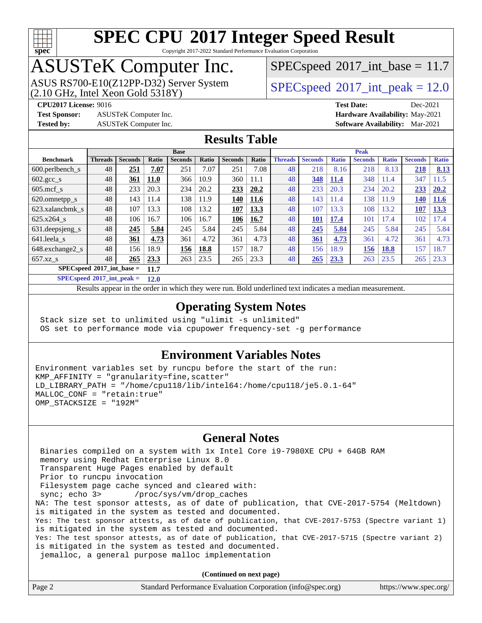

Copyright 2017-2022 Standard Performance Evaluation Corporation

### ASUSTeK Computer Inc.

 $(2.10$  GHz, Intel Xeon Gold  $5318$ Y) ASUS RS700-E10(Z12PP-D32) Server System  $SPECspeed@2017$  $SPECspeed@2017$  int\_peak = 12.0

 $SPECspeed^{\circ}2017\_int\_base = 11.7$  $SPECspeed^{\circ}2017\_int\_base = 11.7$ 

**[Test Sponsor:](http://www.spec.org/auto/cpu2017/Docs/result-fields.html#TestSponsor)** ASUSTeK Computer Inc. **[Hardware Availability:](http://www.spec.org/auto/cpu2017/Docs/result-fields.html#HardwareAvailability)** May-2021

**[CPU2017 License:](http://www.spec.org/auto/cpu2017/Docs/result-fields.html#CPU2017License)** 9016 **[Test Date:](http://www.spec.org/auto/cpu2017/Docs/result-fields.html#TestDate)** Dec-2021 **[Tested by:](http://www.spec.org/auto/cpu2017/Docs/result-fields.html#Testedby)** ASUSTeK Computer Inc. **[Software Availability:](http://www.spec.org/auto/cpu2017/Docs/result-fields.html#SoftwareAvailability)** Mar-2021

#### **[Results Table](http://www.spec.org/auto/cpu2017/Docs/result-fields.html#ResultsTable)**

|                                      |                |                |             | <b>Base</b>    |       |                |       |                | <b>Peak</b>    |              |                |              |                |              |
|--------------------------------------|----------------|----------------|-------------|----------------|-------|----------------|-------|----------------|----------------|--------------|----------------|--------------|----------------|--------------|
| <b>Benchmark</b>                     | <b>Threads</b> | <b>Seconds</b> | Ratio       | <b>Seconds</b> | Ratio | <b>Seconds</b> | Ratio | <b>Threads</b> | <b>Seconds</b> | <b>Ratio</b> | <b>Seconds</b> | <b>Ratio</b> | <b>Seconds</b> | <b>Ratio</b> |
| 600.perlbench s                      | 48             | 251            | 7.07        | 251            | 7.07  | 251            | 7.08  | 48             | 218            | 8.16         | 218            | 8.13         | 218            | 8.13         |
| $602 \text{.} \text{gcc}\text{_<}$ s | 48             | <u>361</u>     | <b>11.0</b> | 366            | 10.9  | 360            | 11.1  | 48             | 348            | 11.4         | 348            | 11.4         | 347            | 11.5         |
| $605$ .mcf s                         | 48             | 233            | 20.3        | 234            | 20.2  | 233            | 20.2  | 48             | 233            | 20.3         | 234            | 20.2         | 233            | 20.2         |
| 620.omnetpp_s                        | 48             | 143            | 11.4        | 138            | 11.9  | 140            | 11.6  | 48             | 143            | 11.4         | 138            | 11.9         | 140            | <b>11.6</b>  |
| 623.xalancbmk s                      | 48             | 107            | 13.3        | 108            | 13.2  | 107            | 13.3  | 48             | 107            | 13.3         | 108            | 13.2         | 107            | 13.3         |
| 625.x264 s                           | 48             | 106            | 16.7        | 106            | 16.7  | 106            | 16.7  | 48             | 101            | 17.4         | 101            | 17.4         | 102            | 17.4         |
| 631.deepsjeng_s                      | 48             | 245            | 5.84        | 245            | 5.84  | 245            | 5.84  | 48             | 245            | 5.84         | 245            | 5.84         | 245            | 5.84         |
| 641.leela s                          | 48             | 361            | 4.73        | 361            | 4.72  | 361            | 4.73  | 48             | 361            | 4.73         | 361            | 4.72         | 361            | 4.73         |
| 648.exchange2 s                      | 48             | 156            | 18.9        | 156            | 18.8  | 157            | 18.7  | 48             | 156            | 18.9         | 156            | <b>18.8</b>  | 157            | 18.7         |
| $657.xz$ s                           | 48             | 265            | 23.3        | 263            | 23.5  | 265            | 23.3  | 48             | 265            | 23.3         | 263            | 23.5         | 265            | 23.3         |
| $SPECspeed^{\circ 2017}$ int base =  |                |                | 11.7        |                |       |                |       |                |                |              |                |              |                |              |

**[SPECspeed](http://www.spec.org/auto/cpu2017/Docs/result-fields.html#SPECspeed2017intpeak)[2017\\_int\\_peak =](http://www.spec.org/auto/cpu2017/Docs/result-fields.html#SPECspeed2017intpeak) 12.0**

Results appear in the [order in which they were run.](http://www.spec.org/auto/cpu2017/Docs/result-fields.html#RunOrder) Bold underlined text [indicates a median measurement](http://www.spec.org/auto/cpu2017/Docs/result-fields.html#Median).

#### **[Operating System Notes](http://www.spec.org/auto/cpu2017/Docs/result-fields.html#OperatingSystemNotes)**

 Stack size set to unlimited using "ulimit -s unlimited" OS set to performance mode via cpupower frequency-set -g performance

#### **[Environment Variables Notes](http://www.spec.org/auto/cpu2017/Docs/result-fields.html#EnvironmentVariablesNotes)**

Environment variables set by runcpu before the start of the run: KMP\_AFFINITY = "granularity=fine,scatter" LD\_LIBRARY\_PATH = "/home/cpu118/lib/intel64:/home/cpu118/je5.0.1-64" MALLOC\_CONF = "retain:true" OMP\_STACKSIZE = "192M"

#### **[General Notes](http://www.spec.org/auto/cpu2017/Docs/result-fields.html#GeneralNotes)**

 Binaries compiled on a system with 1x Intel Core i9-7980XE CPU + 64GB RAM memory using Redhat Enterprise Linux 8.0 Transparent Huge Pages enabled by default Prior to runcpu invocation Filesystem page cache synced and cleared with: sync; echo 3> /proc/sys/vm/drop\_caches NA: The test sponsor attests, as of date of publication, that CVE-2017-5754 (Meltdown) is mitigated in the system as tested and documented. Yes: The test sponsor attests, as of date of publication, that CVE-2017-5753 (Spectre variant 1) is mitigated in the system as tested and documented. Yes: The test sponsor attests, as of date of publication, that CVE-2017-5715 (Spectre variant 2) is mitigated in the system as tested and documented. jemalloc, a general purpose malloc implementation

**(Continued on next page)**

| Standard Performance Evaluation Corporation (info@spec.org)<br>Page 2 | https://www.spec.org/ |
|-----------------------------------------------------------------------|-----------------------|
|-----------------------------------------------------------------------|-----------------------|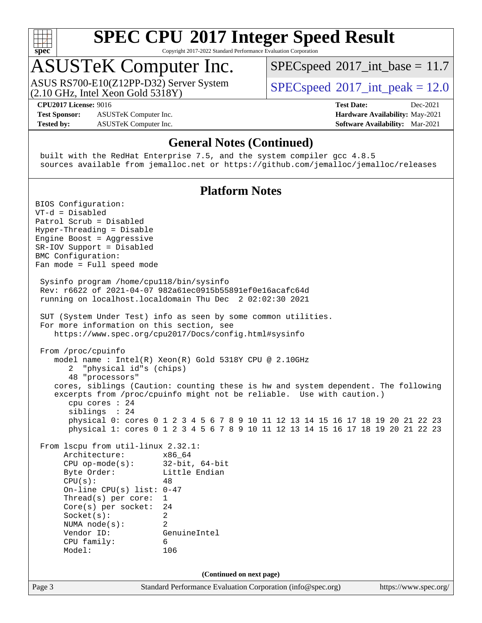

Copyright 2017-2022 Standard Performance Evaluation Corporation

### ASUSTeK Computer Inc.

(2.10 GHz, Intel Xeon Gold 5318Y) ASUS RS700-E10(Z12PP-D32) Server System  $SPECspeed@2017$  $SPECspeed@2017$  int\_peak = 12.0

 $SPECspeed^{\circ}2017\_int\_base = 11.7$  $SPECspeed^{\circ}2017\_int\_base = 11.7$ 

**[CPU2017 License:](http://www.spec.org/auto/cpu2017/Docs/result-fields.html#CPU2017License)** 9016 **[Test Date:](http://www.spec.org/auto/cpu2017/Docs/result-fields.html#TestDate)** Dec-2021

**[Test Sponsor:](http://www.spec.org/auto/cpu2017/Docs/result-fields.html#TestSponsor)** ASUSTeK Computer Inc. **[Hardware Availability:](http://www.spec.org/auto/cpu2017/Docs/result-fields.html#HardwareAvailability)** May-2021 **[Tested by:](http://www.spec.org/auto/cpu2017/Docs/result-fields.html#Testedby)** ASUSTeK Computer Inc. **[Software Availability:](http://www.spec.org/auto/cpu2017/Docs/result-fields.html#SoftwareAvailability)** Mar-2021

#### **[General Notes \(Continued\)](http://www.spec.org/auto/cpu2017/Docs/result-fields.html#GeneralNotes)**

 built with the RedHat Enterprise 7.5, and the system compiler gcc 4.8.5 sources available from jemalloc.net or <https://github.com/jemalloc/jemalloc/releases>

#### **[Platform Notes](http://www.spec.org/auto/cpu2017/Docs/result-fields.html#PlatformNotes)**

Page 3 Standard Performance Evaluation Corporation [\(info@spec.org\)](mailto:info@spec.org) <https://www.spec.org/> BIOS Configuration: VT-d = Disabled Patrol Scrub = Disabled Hyper-Threading = Disable Engine Boost = Aggressive SR-IOV Support = Disabled BMC Configuration: Fan mode = Full speed mode Sysinfo program /home/cpu118/bin/sysinfo Rev: r6622 of 2021-04-07 982a61ec0915b55891ef0e16acafc64d running on localhost.localdomain Thu Dec 2 02:02:30 2021 SUT (System Under Test) info as seen by some common utilities. For more information on this section, see <https://www.spec.org/cpu2017/Docs/config.html#sysinfo> From /proc/cpuinfo model name : Intel(R) Xeon(R) Gold 5318Y CPU @ 2.10GHz 2 "physical id"s (chips) 48 "processors" cores, siblings (Caution: counting these is hw and system dependent. The following excerpts from /proc/cpuinfo might not be reliable. Use with caution.) cpu cores : 24 siblings : 24 physical 0: cores 0 1 2 3 4 5 6 7 8 9 10 11 12 13 14 15 16 17 18 19 20 21 22 23 physical 1: cores 0 1 2 3 4 5 6 7 8 9 10 11 12 13 14 15 16 17 18 19 20 21 22 23 From lscpu from util-linux 2.32.1: Architecture: x86\_64 CPU op-mode(s): 32-bit, 64-bit Byte Order: Little Endian  $CPU(s):$  48 On-line CPU(s) list: 0-47 Thread(s) per core: 1 Core(s) per socket: 24 Socket(s): 2 NUMA node(s): 2 Vendor ID: GenuineIntel CPU family: 6 Model: 106 **(Continued on next page)**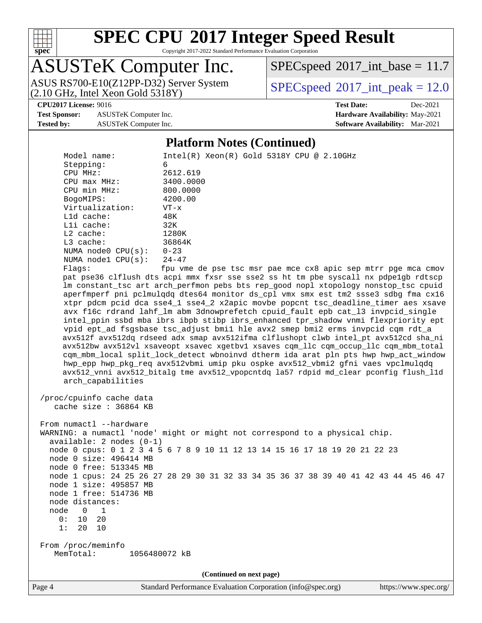

Copyright 2017-2022 Standard Performance Evaluation Corporation

### ASUSTeK Computer Inc.

(2.10 GHz, Intel Xeon Gold 5318Y) ASUS RS700-E10(Z12PP-D32) Server System  $SPECspeed@2017$  $SPECspeed@2017$  int\_peak = 12.0

 $SPECspeed^{\circ}2017\_int\_base = 11.7$  $SPECspeed^{\circ}2017\_int\_base = 11.7$ 

**[Test Sponsor:](http://www.spec.org/auto/cpu2017/Docs/result-fields.html#TestSponsor)** ASUSTeK Computer Inc. **[Hardware Availability:](http://www.spec.org/auto/cpu2017/Docs/result-fields.html#HardwareAvailability)** May-2021 **[Tested by:](http://www.spec.org/auto/cpu2017/Docs/result-fields.html#Testedby)** ASUSTeK Computer Inc. **[Software Availability:](http://www.spec.org/auto/cpu2017/Docs/result-fields.html#SoftwareAvailability)** Mar-2021

# **[CPU2017 License:](http://www.spec.org/auto/cpu2017/Docs/result-fields.html#CPU2017License)** 9016 **[Test Date:](http://www.spec.org/auto/cpu2017/Docs/result-fields.html#TestDate)** Dec-2021

#### **[Platform Notes \(Continued\)](http://www.spec.org/auto/cpu2017/Docs/result-fields.html#PlatformNotes)**

 Model name: Intel(R) Xeon(R) Gold 5318Y CPU @ 2.10GHz Stepping: 6 CPU MHz: 2612.619 CPU max MHz: 3400.0000 CPU min MHz: 800.0000 BogoMIPS: 4200.00 Virtualization: VT-x L1d cache: 48K L1i cache: 32K L2 cache: 1280K L3 cache: 36864K NUMA node0 CPU(s): 0-23 NUMA node1 CPU(s): 24-47 Flags: fpu vme de pse tsc msr pae mce cx8 apic sep mtrr pge mca cmov pat pse36 clflush dts acpi mmx fxsr sse sse2 ss ht tm pbe syscall nx pdpe1gb rdtscp lm constant\_tsc art arch\_perfmon pebs bts rep\_good nopl xtopology nonstop\_tsc cpuid aperfmperf pni pclmulqdq dtes64 monitor ds\_cpl vmx smx est tm2 ssse3 sdbg fma cx16 xtpr pdcm pcid dca sse4\_1 sse4\_2 x2apic movbe popcnt tsc\_deadline\_timer aes xsave avx f16c rdrand lahf\_lm abm 3dnowprefetch cpuid\_fault epb cat\_l3 invpcid\_single intel\_ppin ssbd mba ibrs ibpb stibp ibrs\_enhanced tpr\_shadow vnmi flexpriority ept vpid ept\_ad fsgsbase tsc\_adjust bmi1 hle avx2 smep bmi2 erms invpcid cqm rdt\_a avx512f avx512dq rdseed adx smap avx512ifma clflushopt clwb intel\_pt avx512cd sha\_ni avx512bw avx512vl xsaveopt xsavec xgetbv1 xsaves cqm\_llc cqm\_occup\_llc cqm\_mbm\_total cqm\_mbm\_local split\_lock\_detect wbnoinvd dtherm ida arat pln pts hwp hwp\_act\_window hwp\_epp hwp\_pkg\_req avx512vbmi umip pku ospke avx512\_vbmi2 gfni vaes vpclmulqdq avx512\_vnni avx512\_bitalg tme avx512\_vpopcntdq la57 rdpid md\_clear pconfig flush\_l1d arch\_capabilities /proc/cpuinfo cache data cache size : 36864 KB From numactl --hardware WARNING: a numactl 'node' might or might not correspond to a physical chip. available: 2 nodes (0-1) node 0 cpus: 0 1 2 3 4 5 6 7 8 9 10 11 12 13 14 15 16 17 18 19 20 21 22 23 node 0 size: 496414 MB node 0 free: 513345 MB node 1 cpus: 24 25 26 27 28 29 30 31 32 33 34 35 36 37 38 39 40 41 42 43 44 45 46 47 node 1 size: 495857 MB node 1 free: 514736 MB node distances: node 0 1 0: 10 20 1: 20 10 From /proc/meminfo MemTotal: 1056480072 kB **(Continued on next page)**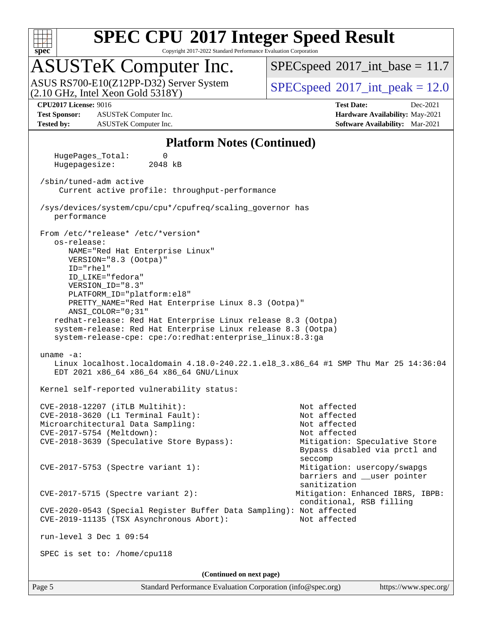

Copyright 2017-2022 Standard Performance Evaluation Corporation

### ASUSTeK Computer Inc.

(2.10 GHz, Intel Xeon Gold 5318Y) ASUS RS700-E10(Z12PP-D32) Server System  $SPECspeed@2017$  $SPECspeed@2017$  int\_peak = 12.0

 $SPECspeed^{\circ}2017\_int\_base = 11.7$  $SPECspeed^{\circ}2017\_int\_base = 11.7$ 

**[Test Sponsor:](http://www.spec.org/auto/cpu2017/Docs/result-fields.html#TestSponsor)** ASUSTeK Computer Inc. **[Hardware Availability:](http://www.spec.org/auto/cpu2017/Docs/result-fields.html#HardwareAvailability)** May-2021 **[Tested by:](http://www.spec.org/auto/cpu2017/Docs/result-fields.html#Testedby)** ASUSTeK Computer Inc. **[Software Availability:](http://www.spec.org/auto/cpu2017/Docs/result-fields.html#SoftwareAvailability)** Mar-2021

**[CPU2017 License:](http://www.spec.org/auto/cpu2017/Docs/result-fields.html#CPU2017License)** 9016 **[Test Date:](http://www.spec.org/auto/cpu2017/Docs/result-fields.html#TestDate)** Dec-2021

#### **[Platform Notes \(Continued\)](http://www.spec.org/auto/cpu2017/Docs/result-fields.html#PlatformNotes)**

 HugePages\_Total: 0 Hugepagesize: 2048 kB /sbin/tuned-adm active Current active profile: throughput-performance /sys/devices/system/cpu/cpu\*/cpufreq/scaling\_governor has performance From /etc/\*release\* /etc/\*version\* os-release: NAME="Red Hat Enterprise Linux" VERSION="8.3 (Ootpa)" ID="rhel" ID\_LIKE="fedora" VERSION\_ID="8.3" PLATFORM\_ID="platform:el8" PRETTY\_NAME="Red Hat Enterprise Linux 8.3 (Ootpa)" ANSI\_COLOR="0;31" redhat-release: Red Hat Enterprise Linux release 8.3 (Ootpa) system-release: Red Hat Enterprise Linux release 8.3 (Ootpa) system-release-cpe: cpe:/o:redhat:enterprise\_linux:8.3:ga uname -a: Linux localhost.localdomain 4.18.0-240.22.1.el8\_3.x86\_64 #1 SMP Thu Mar 25 14:36:04 EDT 2021 x86\_64 x86\_64 x86\_64 GNU/Linux Kernel self-reported vulnerability status: CVE-2018-12207 (iTLB Multihit): Not affected CVE-2018-3620 (L1 Terminal Fault): Not affected Microarchitectural Data Sampling: Not affected CVE-2017-5754 (Meltdown): Not affected CVE-2018-3639 (Speculative Store Bypass): Mitigation: Speculative Store Bypass disabled via prctl and seccompany and the second second seconds of the second seconds of the seconds of the seconds of the seconds of CVE-2017-5753 (Spectre variant 1): Mitigation: usercopy/swapgs barriers and \_\_user pointer sanitization CVE-2017-5715 (Spectre variant 2): Mitigation: Enhanced IBRS, IBPB: conditional, RSB filling CVE-2020-0543 (Special Register Buffer Data Sampling): Not affected CVE-2019-11135 (TSX Asynchronous Abort): Not affected run-level 3 Dec 1 09:54 SPEC is set to: /home/cpu118 **(Continued on next page)**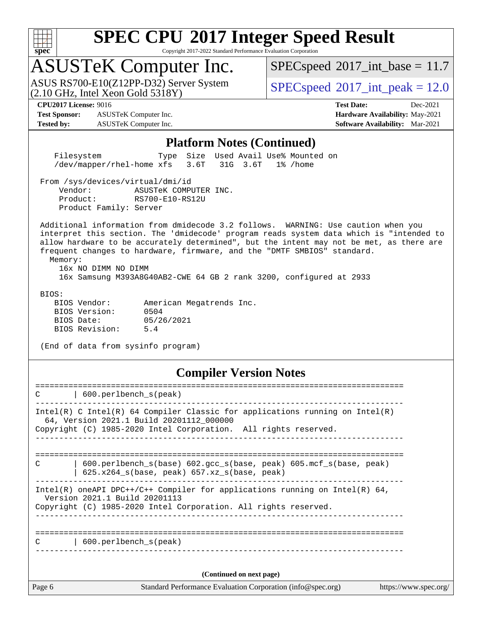

Copyright 2017-2022 Standard Performance Evaluation Corporation

### ASUSTeK Computer Inc.

(2.10 GHz, Intel Xeon Gold 5318Y) ASUS RS700-E10(Z12PP-D32) Server System  $SPECspeed@2017$  $SPECspeed@2017$  int\_peak = 12.0

 $SPECspeed^{\circledcirc}2017\_int\_base = 11.7$  $SPECspeed^{\circledcirc}2017\_int\_base = 11.7$ 

**[Test Sponsor:](http://www.spec.org/auto/cpu2017/Docs/result-fields.html#TestSponsor)** ASUSTeK Computer Inc. **[Hardware Availability:](http://www.spec.org/auto/cpu2017/Docs/result-fields.html#HardwareAvailability)** May-2021 **[Tested by:](http://www.spec.org/auto/cpu2017/Docs/result-fields.html#Testedby)** ASUSTeK Computer Inc. **[Software Availability:](http://www.spec.org/auto/cpu2017/Docs/result-fields.html#SoftwareAvailability)** Mar-2021

**[CPU2017 License:](http://www.spec.org/auto/cpu2017/Docs/result-fields.html#CPU2017License)** 9016 **[Test Date:](http://www.spec.org/auto/cpu2017/Docs/result-fields.html#TestDate)** Dec-2021

#### **[Platform Notes \(Continued\)](http://www.spec.org/auto/cpu2017/Docs/result-fields.html#PlatformNotes)**

 Filesystem Type Size Used Avail Use% Mounted on /dev/mapper/rhel-home xfs 3.6T 31G 3.6T 1% /home

From /sys/devices/virtual/dmi/id

 Vendor: ASUSTeK COMPUTER INC. Product: RS700-E10-RS12U Product Family: Server

 Additional information from dmidecode 3.2 follows. WARNING: Use caution when you interpret this section. The 'dmidecode' program reads system data which is "intended to allow hardware to be accurately determined", but the intent may not be met, as there are frequent changes to hardware, firmware, and the "DMTF SMBIOS" standard.

 Memory: 16x NO DIMM NO DIMM

16x Samsung M393A8G40AB2-CWE 64 GB 2 rank 3200, configured at 2933

BIOS:

| BIOS Vendor:   |            | American Megatrends Inc. |  |
|----------------|------------|--------------------------|--|
| BIOS Version:  | 0504       |                          |  |
| BIOS Date:     | 05/26/2021 |                          |  |
| BIOS Revision: | 5.4        |                          |  |

(End of data from sysinfo program)

#### **[Compiler Version Notes](http://www.spec.org/auto/cpu2017/Docs/result-fields.html#CompilerVersionNotes)**

| C             | 600.perlbench_s(peak)                                                                                                                                                                       |  |  |  |
|---------------|---------------------------------------------------------------------------------------------------------------------------------------------------------------------------------------------|--|--|--|
|               | Intel(R) C Intel(R) 64 Compiler Classic for applications running on Intel(R)<br>64, Version 2021.1 Build 20201112_000000<br>Copyright (C) 1985-2020 Intel Corporation. All rights reserved. |  |  |  |
| $\mathcal{C}$ | 600.perlbench_s(base) 602.gcc_s(base, peak) 605.mcf_s(base, peak)<br>625.x264_s(base, peak) 657.xz_s(base, peak)                                                                            |  |  |  |
|               | Intel(R) oneAPI DPC++/C++ Compiler for applications running on Intel(R) $64$ ,<br>Version 2021.1 Build 20201113<br>Copyright (C) 1985-2020 Intel Corporation. All rights reserved.          |  |  |  |
| C             | 600.perlbench s(peak)                                                                                                                                                                       |  |  |  |
|               | (Continued on next page)                                                                                                                                                                    |  |  |  |
| Page 6        | Standard Performance Evaluation Corporation (info@spec.org)<br>https://www.spec.org/                                                                                                        |  |  |  |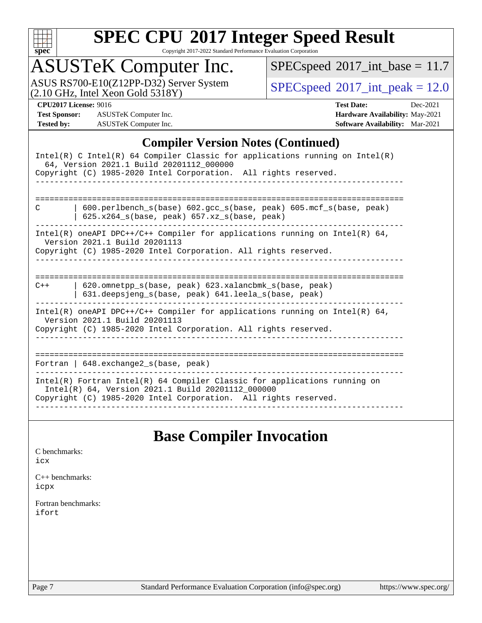

Copyright 2017-2022 Standard Performance Evaluation Corporation

### ASUSTeK Computer Inc.

ASUS RS700-E10(Z12PP-D32) Server System  $(2.10 \text{ GHz}, \text{ Intel Xeon Gold } 5318\text{Y})$   $\left| \text{ SPECspeed} \text{ }^{\circ}\text{2017\_int\_peak} = 12.0 \right|$  $\left| \text{ SPECspeed} \text{ }^{\circ}\text{2017\_int\_peak} = 12.0 \right|$  $\left| \text{ SPECspeed} \text{ }^{\circ}\text{2017\_int\_peak} = 12.0 \right|$ 

 $SPEC speed$ <sup>®</sup>[2017\\_int\\_base =](http://www.spec.org/auto/cpu2017/Docs/result-fields.html#SPECspeed2017intbase) 11.7

**[Test Sponsor:](http://www.spec.org/auto/cpu2017/Docs/result-fields.html#TestSponsor)** ASUSTeK Computer Inc. **[Hardware Availability:](http://www.spec.org/auto/cpu2017/Docs/result-fields.html#HardwareAvailability)** May-2021 **[Tested by:](http://www.spec.org/auto/cpu2017/Docs/result-fields.html#Testedby)** ASUSTeK Computer Inc. **[Software Availability:](http://www.spec.org/auto/cpu2017/Docs/result-fields.html#SoftwareAvailability)** Mar-2021

**[CPU2017 License:](http://www.spec.org/auto/cpu2017/Docs/result-fields.html#CPU2017License)** 9016 **[Test Date:](http://www.spec.org/auto/cpu2017/Docs/result-fields.html#TestDate)** Dec-2021

#### **[Compiler Version Notes \(Continued\)](http://www.spec.org/auto/cpu2017/Docs/result-fields.html#CompilerVersionNotes)**

| Intel(R) C Intel(R) 64 Compiler Classic for applications running on Intel(R)<br>64, Version 2021.1 Build 20201112_000000<br>Copyright (C) 1985-2020 Intel Corporation. All rights reserved.       |
|---------------------------------------------------------------------------------------------------------------------------------------------------------------------------------------------------|
|                                                                                                                                                                                                   |
| $600.$ perlbench $s(base) 602.$ qcc $s(base, peak) 605.$ mcf $s(base, peak)$<br>C<br>$625.x264_s(base, peak)$ 657.xz <sub>_S</sub> (base, peak)                                                   |
| Intel(R) oneAPI DPC++/C++ Compiler for applications running on Intel(R) $64$ ,<br>Version 2021.1 Build 20201113<br>Copyright (C) 1985-2020 Intel Corporation. All rights reserved.                |
| 620.omnetpp s(base, peak) 623.xalancbmk s(base, peak)<br>$C++$<br>631.deepsjeng_s(base, peak) 641.leela_s(base, peak)                                                                             |
| Intel(R) oneAPI DPC++/C++ Compiler for applications running on Intel(R) $64$ ,<br>Version 2021.1 Build 20201113<br>Copyright (C) 1985-2020 Intel Corporation. All rights reserved.                |
| Fortran   $648$ . exchange2 $s$ (base, peak)                                                                                                                                                      |
| Intel(R) Fortran Intel(R) 64 Compiler Classic for applications running on<br>Intel(R) 64, Version 2021.1 Build 20201112_000000<br>Copyright (C) 1985-2020 Intel Corporation. All rights reserved. |

#### **[Base Compiler Invocation](http://www.spec.org/auto/cpu2017/Docs/result-fields.html#BaseCompilerInvocation)**

[C benchmarks](http://www.spec.org/auto/cpu2017/Docs/result-fields.html#Cbenchmarks): [icx](http://www.spec.org/cpu2017/results/res2022q1/cpu2017-20211216-30444.flags.html#user_CCbase_intel_icx_fe2d28d19ae2a5db7c42fe0f2a2aed77cb715edd4aeb23434404a8be6683fe239869bb6ca8154ca98265c2e3b9226a719a0efe2953a4a7018c379b7010ccf087)

[C++ benchmarks:](http://www.spec.org/auto/cpu2017/Docs/result-fields.html#CXXbenchmarks) [icpx](http://www.spec.org/cpu2017/results/res2022q1/cpu2017-20211216-30444.flags.html#user_CXXbase_intel_icpx_1e918ed14c436bf4b9b7c8bcdd51d4539fc71b3df010bd1e9f8732d9c34c2b2914e48204a846820f3c0ebb4095dea797a5c30b458ac0b6dffac65d78f781f5ca)

[Fortran benchmarks](http://www.spec.org/auto/cpu2017/Docs/result-fields.html#Fortranbenchmarks): [ifort](http://www.spec.org/cpu2017/results/res2022q1/cpu2017-20211216-30444.flags.html#user_FCbase_intel_ifort_8111460550e3ca792625aed983ce982f94888b8b503583aa7ba2b8303487b4d8a21a13e7191a45c5fd58ff318f48f9492884d4413fa793fd88dd292cad7027ca)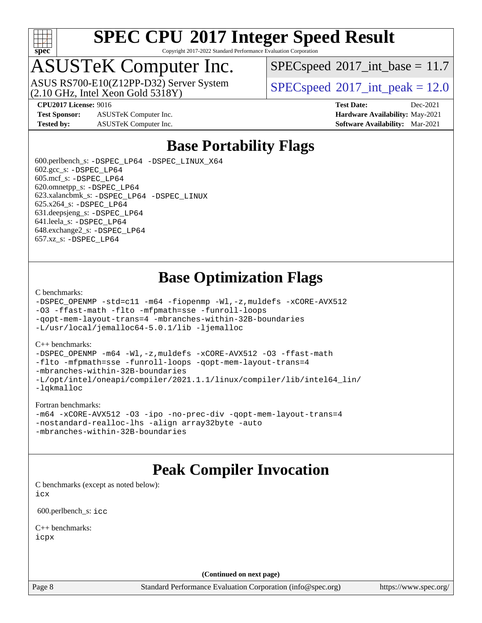

Copyright 2017-2022 Standard Performance Evaluation Corporation

### ASUSTeK Computer Inc.

ASUS RS700-E10(Z12PP-D32) Server System<br>(2.10 GHz, Intel Xeon Gold 5318Y)

 $SPECspeed^{\circledcirc}2017\_int\_base = 11.7$  $SPECspeed^{\circledcirc}2017\_int\_base = 11.7$ 

 $SPECspeed^{\circ}2017\_int\_peak = 12.0$  $SPECspeed^{\circ}2017\_int\_peak = 12.0$ 

**[Test Sponsor:](http://www.spec.org/auto/cpu2017/Docs/result-fields.html#TestSponsor)** ASUSTeK Computer Inc. **[Hardware Availability:](http://www.spec.org/auto/cpu2017/Docs/result-fields.html#HardwareAvailability)** May-2021 **[Tested by:](http://www.spec.org/auto/cpu2017/Docs/result-fields.html#Testedby)** ASUSTeK Computer Inc. **[Software Availability:](http://www.spec.org/auto/cpu2017/Docs/result-fields.html#SoftwareAvailability)** Mar-2021

**[CPU2017 License:](http://www.spec.org/auto/cpu2017/Docs/result-fields.html#CPU2017License)** 9016 **[Test Date:](http://www.spec.org/auto/cpu2017/Docs/result-fields.html#TestDate)** Dec-2021

### **[Base Portability Flags](http://www.spec.org/auto/cpu2017/Docs/result-fields.html#BasePortabilityFlags)**

 600.perlbench\_s: [-DSPEC\\_LP64](http://www.spec.org/cpu2017/results/res2022q1/cpu2017-20211216-30444.flags.html#b600.perlbench_s_basePORTABILITY_DSPEC_LP64) [-DSPEC\\_LINUX\\_X64](http://www.spec.org/cpu2017/results/res2022q1/cpu2017-20211216-30444.flags.html#b600.perlbench_s_baseCPORTABILITY_DSPEC_LINUX_X64)  $602.\text{gcc}\$ s:  $-DSPEC$  LP64 605.mcf\_s: [-DSPEC\\_LP64](http://www.spec.org/cpu2017/results/res2022q1/cpu2017-20211216-30444.flags.html#suite_basePORTABILITY605_mcf_s_DSPEC_LP64) 620.omnetpp\_s: [-DSPEC\\_LP64](http://www.spec.org/cpu2017/results/res2022q1/cpu2017-20211216-30444.flags.html#suite_basePORTABILITY620_omnetpp_s_DSPEC_LP64) 623.xalancbmk\_s: [-DSPEC\\_LP64](http://www.spec.org/cpu2017/results/res2022q1/cpu2017-20211216-30444.flags.html#suite_basePORTABILITY623_xalancbmk_s_DSPEC_LP64) [-DSPEC\\_LINUX](http://www.spec.org/cpu2017/results/res2022q1/cpu2017-20211216-30444.flags.html#b623.xalancbmk_s_baseCXXPORTABILITY_DSPEC_LINUX) 625.x264\_s: [-DSPEC\\_LP64](http://www.spec.org/cpu2017/results/res2022q1/cpu2017-20211216-30444.flags.html#suite_basePORTABILITY625_x264_s_DSPEC_LP64) 631.deepsjeng\_s: [-DSPEC\\_LP64](http://www.spec.org/cpu2017/results/res2022q1/cpu2017-20211216-30444.flags.html#suite_basePORTABILITY631_deepsjeng_s_DSPEC_LP64) 641.leela\_s: [-DSPEC\\_LP64](http://www.spec.org/cpu2017/results/res2022q1/cpu2017-20211216-30444.flags.html#suite_basePORTABILITY641_leela_s_DSPEC_LP64) 648.exchange2\_s: [-DSPEC\\_LP64](http://www.spec.org/cpu2017/results/res2022q1/cpu2017-20211216-30444.flags.html#suite_basePORTABILITY648_exchange2_s_DSPEC_LP64) 657.xz\_s: [-DSPEC\\_LP64](http://www.spec.org/cpu2017/results/res2022q1/cpu2017-20211216-30444.flags.html#suite_basePORTABILITY657_xz_s_DSPEC_LP64)

### **[Base Optimization Flags](http://www.spec.org/auto/cpu2017/Docs/result-fields.html#BaseOptimizationFlags)**

[C benchmarks](http://www.spec.org/auto/cpu2017/Docs/result-fields.html#Cbenchmarks):

```
-DSPEC_OPENMP -std=c11 -m64 -fiopenmp -Wl,-z,muldefs -xCORE-AVX512
-O3 -ffast-math -flto -mfpmath=sse -funroll-loops
-qopt-mem-layout-trans=4 -mbranches-within-32B-boundaries
-L/usr/local/jemalloc64-5.0.1/lib -ljemalloc
```
#### [C++ benchmarks:](http://www.spec.org/auto/cpu2017/Docs/result-fields.html#CXXbenchmarks)

[-DSPEC\\_OPENMP](http://www.spec.org/cpu2017/results/res2022q1/cpu2017-20211216-30444.flags.html#suite_CXXbase_DSPEC_OPENMP) [-m64](http://www.spec.org/cpu2017/results/res2022q1/cpu2017-20211216-30444.flags.html#user_CXXbase_m64-icc) [-Wl,-z,muldefs](http://www.spec.org/cpu2017/results/res2022q1/cpu2017-20211216-30444.flags.html#user_CXXbase_link_force_multiple1_b4cbdb97b34bdee9ceefcfe54f4c8ea74255f0b02a4b23e853cdb0e18eb4525ac79b5a88067c842dd0ee6996c24547a27a4b99331201badda8798ef8a743f577) [-xCORE-AVX512](http://www.spec.org/cpu2017/results/res2022q1/cpu2017-20211216-30444.flags.html#user_CXXbase_f-xCORE-AVX512) [-O3](http://www.spec.org/cpu2017/results/res2022q1/cpu2017-20211216-30444.flags.html#user_CXXbase_f-O3) [-ffast-math](http://www.spec.org/cpu2017/results/res2022q1/cpu2017-20211216-30444.flags.html#user_CXXbase_f-ffast-math) [-flto](http://www.spec.org/cpu2017/results/res2022q1/cpu2017-20211216-30444.flags.html#user_CXXbase_f-flto) [-mfpmath=sse](http://www.spec.org/cpu2017/results/res2022q1/cpu2017-20211216-30444.flags.html#user_CXXbase_f-mfpmath_70eb8fac26bde974f8ab713bc9086c5621c0b8d2f6c86f38af0bd7062540daf19db5f3a066d8c6684be05d84c9b6322eb3b5be6619d967835195b93d6c02afa1) [-funroll-loops](http://www.spec.org/cpu2017/results/res2022q1/cpu2017-20211216-30444.flags.html#user_CXXbase_f-funroll-loops) [-qopt-mem-layout-trans=4](http://www.spec.org/cpu2017/results/res2022q1/cpu2017-20211216-30444.flags.html#user_CXXbase_f-qopt-mem-layout-trans_fa39e755916c150a61361b7846f310bcdf6f04e385ef281cadf3647acec3f0ae266d1a1d22d972a7087a248fd4e6ca390a3634700869573d231a252c784941a8) [-mbranches-within-32B-boundaries](http://www.spec.org/cpu2017/results/res2022q1/cpu2017-20211216-30444.flags.html#user_CXXbase_f-mbranches-within-32B-boundaries) [-L/opt/intel/oneapi/compiler/2021.1.1/linux/compiler/lib/intel64\\_lin/](http://www.spec.org/cpu2017/results/res2022q1/cpu2017-20211216-30444.flags.html#user_CXXbase_linkpath_765a8c93c4ea33dfc565a33ecb48f4f7d02a6338709b3b362f341eb203a06426ce1d12ded4c7809f6ab6cf0e9f5515cffeb4efc405b63f85dc27a83bbbdeb3a3) [-lqkmalloc](http://www.spec.org/cpu2017/results/res2022q1/cpu2017-20211216-30444.flags.html#user_CXXbase_qkmalloc_link_lib_79a818439969f771c6bc311cfd333c00fc099dad35c030f5aab9dda831713d2015205805422f83de8875488a2991c0a156aaa600e1f9138f8fc37004abc96dc5)

#### [Fortran benchmarks](http://www.spec.org/auto/cpu2017/Docs/result-fields.html#Fortranbenchmarks):

```
-m64 -xCORE-AVX512 -O3 -ipo -no-prec-div -qopt-mem-layout-trans=4
-nostandard-realloc-lhs -align array32byte -auto
-mbranches-within-32B-boundaries
```
#### **[Peak Compiler Invocation](http://www.spec.org/auto/cpu2017/Docs/result-fields.html#PeakCompilerInvocation)**

[C benchmarks \(except as noted below\)](http://www.spec.org/auto/cpu2017/Docs/result-fields.html#Cbenchmarksexceptasnotedbelow): [icx](http://www.spec.org/cpu2017/results/res2022q1/cpu2017-20211216-30444.flags.html#user_CCpeak_intel_icx_fe2d28d19ae2a5db7c42fe0f2a2aed77cb715edd4aeb23434404a8be6683fe239869bb6ca8154ca98265c2e3b9226a719a0efe2953a4a7018c379b7010ccf087)

600.perlbench\_s: [icc](http://www.spec.org/cpu2017/results/res2022q1/cpu2017-20211216-30444.flags.html#user_peakCCLD600_perlbench_s_intel_icc_66fc1ee009f7361af1fbd72ca7dcefbb700085f36577c54f309893dd4ec40d12360134090235512931783d35fd58c0460139e722d5067c5574d8eaf2b3e37e92)

[C++ benchmarks:](http://www.spec.org/auto/cpu2017/Docs/result-fields.html#CXXbenchmarks) [icpx](http://www.spec.org/cpu2017/results/res2022q1/cpu2017-20211216-30444.flags.html#user_CXXpeak_intel_icpx_1e918ed14c436bf4b9b7c8bcdd51d4539fc71b3df010bd1e9f8732d9c34c2b2914e48204a846820f3c0ebb4095dea797a5c30b458ac0b6dffac65d78f781f5ca)

**(Continued on next page)**

Page 8 Standard Performance Evaluation Corporation [\(info@spec.org\)](mailto:info@spec.org) <https://www.spec.org/>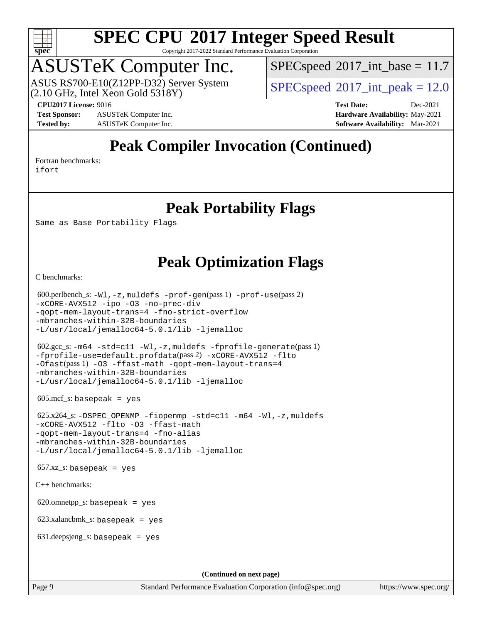

Copyright 2017-2022 Standard Performance Evaluation Corporation

### ASUSTeK Computer Inc.

(2.10 GHz, Intel Xeon Gold 5318Y) ASUS RS700-E10(Z12PP-D32) Server System  $SPECspeed@2017$  $SPECspeed@2017$  int\_peak = 12.0

 $SPECspeed^{\circ}2017\_int\_base = 11.7$  $SPECspeed^{\circ}2017\_int\_base = 11.7$ 

**[Test Sponsor:](http://www.spec.org/auto/cpu2017/Docs/result-fields.html#TestSponsor)** ASUSTeK Computer Inc. **[Hardware Availability:](http://www.spec.org/auto/cpu2017/Docs/result-fields.html#HardwareAvailability)** May-2021 **[Tested by:](http://www.spec.org/auto/cpu2017/Docs/result-fields.html#Testedby)** ASUSTeK Computer Inc. **[Software Availability:](http://www.spec.org/auto/cpu2017/Docs/result-fields.html#SoftwareAvailability)** Mar-2021

**[CPU2017 License:](http://www.spec.org/auto/cpu2017/Docs/result-fields.html#CPU2017License)** 9016 **[Test Date:](http://www.spec.org/auto/cpu2017/Docs/result-fields.html#TestDate)** Dec-2021

### **[Peak Compiler Invocation \(Continued\)](http://www.spec.org/auto/cpu2017/Docs/result-fields.html#PeakCompilerInvocation)**

[Fortran benchmarks](http://www.spec.org/auto/cpu2017/Docs/result-fields.html#Fortranbenchmarks):

[ifort](http://www.spec.org/cpu2017/results/res2022q1/cpu2017-20211216-30444.flags.html#user_FCpeak_intel_ifort_8111460550e3ca792625aed983ce982f94888b8b503583aa7ba2b8303487b4d8a21a13e7191a45c5fd58ff318f48f9492884d4413fa793fd88dd292cad7027ca)

#### **[Peak Portability Flags](http://www.spec.org/auto/cpu2017/Docs/result-fields.html#PeakPortabilityFlags)**

Same as Base Portability Flags

#### **[Peak Optimization Flags](http://www.spec.org/auto/cpu2017/Docs/result-fields.html#PeakOptimizationFlags)**

[C benchmarks](http://www.spec.org/auto/cpu2017/Docs/result-fields.html#Cbenchmarks):

```
 600.perlbench_s: -Wl,-z,muldefs -prof-gen(pass 1) -prof-use(pass 2)
-xCORE-AVX512 -ipo -O3 -no-prec-div
-qopt-mem-layout-trans=4 -fno-strict-overflow
-mbranches-within-32B-boundaries
-L/usr/local/jemalloc64-5.0.1/lib -ljemalloc
 602.gcc_s: -m64 -std=c11 -Wl,-z,muldefs -fprofile-generate(pass 1)
-fprofile-use=default.profdata(pass 2) -xCORE-AVX512 -flto
-Ofast(pass 1) -O3 -ffast-math -qopt-mem-layout-trans=4
-mbranches-within-32B-boundaries
-L/usr/local/jemalloc64-5.0.1/lib -ljemalloc
605 \text{.mcf}\text{.s.} basepeak = yes
 625.x264_s: -DSPEC_OPENMP -fiopenmp -std=c11 -m64 -Wl,-z,muldefs
-xCORE-AVX512 -flto -O3 -ffast-math
-qopt-mem-layout-trans=4 -fno-alias
-mbranches-within-32B-boundaries
-L/usr/local/jemalloc64-5.0.1/lib -ljemalloc
657.xz_s: basepeak = yes
C++ benchmarks: 
620.omnetpp_s: basepeak = yes
 623.xalancbmk_s: basepeak = yes
 631.deepsjeng_s: basepeak = yes
                                       (Continued on next page)
```